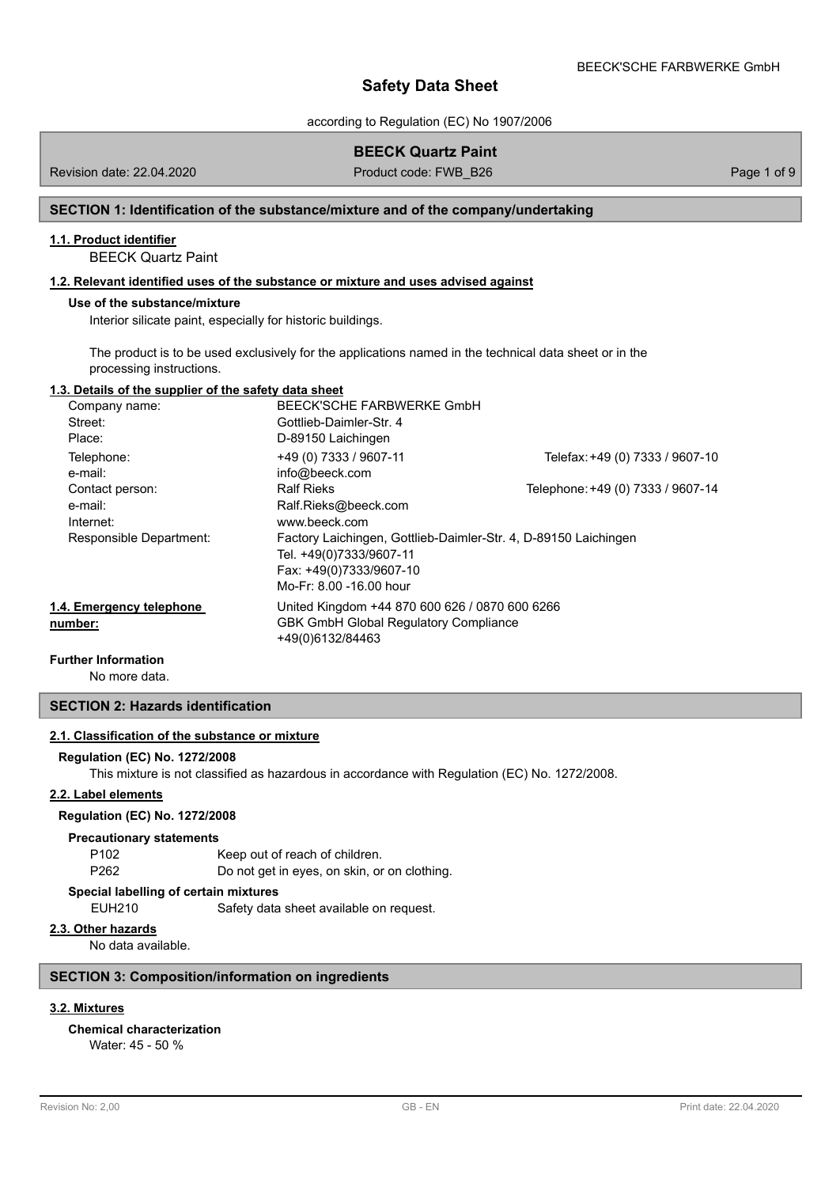according to Regulation (EC) No 1907/2006

## **BEECK Quartz Paint**

Revision date: 22.04.2020

Product code: FWB\_B26 Page 1 of 9

## **SECTION 1: Identification of the substance/mixture and of the company/undertaking**

## **1.1. Product identifier**

BEECK Quartz Paint

### **1.2. Relevant identified uses of the substance or mixture and uses advised against**

### **Use of the substance/mixture**

Interior silicate paint, especially for historic buildings.

The product is to be used exclusively for the applications named in the technical data sheet or in the processing instructions.

### **1.3. Details of the supplier of the safety data sheet**

| Company name:            | BEECK'SCHE FARBWERKE GmbH                                       |                                   |
|--------------------------|-----------------------------------------------------------------|-----------------------------------|
| Street:                  | Gottlieb-Daimler-Str. 4                                         |                                   |
| Place:                   | D-89150 Laichingen                                              |                                   |
| Telephone:               | +49 (0) 7333 / 9607-11                                          | Telefax: +49 (0) 7333 / 9607-10   |
| e-mail:                  | info@beeck.com                                                  |                                   |
| Contact person:          | <b>Ralf Rieks</b>                                               | Telephone: +49 (0) 7333 / 9607-14 |
| e-mail:                  | Ralf.Rieks@beeck.com                                            |                                   |
| Internet:                | www.beeck.com                                                   |                                   |
| Responsible Department:  | Factory Laichingen, Gottlieb-Daimler-Str. 4, D-89150 Laichingen |                                   |
|                          | Tel. +49(0)7333/9607-11                                         |                                   |
|                          | Fax: +49(0)7333/9607-10                                         |                                   |
|                          | Mo-Fr: 8.00 -16.00 hour                                         |                                   |
| 1.4. Emergency telephone | United Kingdom +44 870 600 626 / 0870 600 6266                  |                                   |
| number:                  | <b>GBK GmbH Global Requlatory Compliance</b>                    |                                   |
|                          | +49(0)6132/84463                                                |                                   |

#### **Further Information**

No more data.

### **SECTION 2: Hazards identification**

### **2.1. Classification of the substance or mixture**

#### **Regulation (EC) No. 1272/2008**

This mixture is not classified as hazardous in accordance with Regulation (EC) No. 1272/2008.

### **2.2. Label elements**

### **Regulation (EC) No. 1272/2008**

#### **Precautionary statements**

P102 Keep out of reach of children. P262 Do not get in eyes, on skin, or on clothing.

### **Special labelling of certain mixtures**

EUH210 Safety data sheet available on request.

## **2.3. Other hazards**

No data available.

### **SECTION 3: Composition/information on ingredients**

# **3.2. Mixtures**

# **Chemical characterization**

Water: 45 - 50 %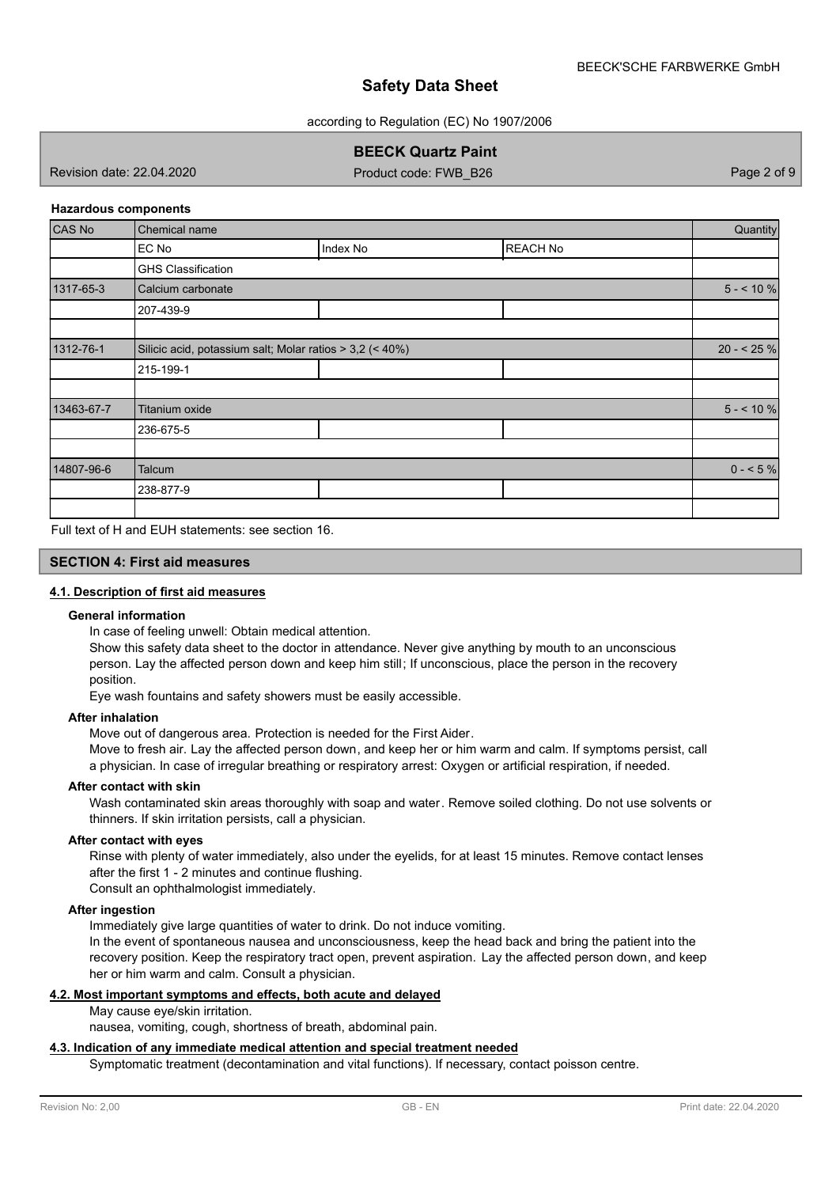according to Regulation (EC) No 1907/2006

# **BEECK Quartz Paint**

Revision date: 22.04.2020

Product code: FWB\_B26 Page 2 of 9

### **Hazardous components**

| <b>CAS No</b> | Chemical name                                            |          |                 |             |
|---------------|----------------------------------------------------------|----------|-----------------|-------------|
|               | EC No                                                    | Index No | <b>REACH No</b> |             |
|               | <b>GHS Classification</b>                                |          |                 |             |
| 1317-65-3     | Calcium carbonate                                        |          |                 | $5 - 10 \%$ |
|               | 207-439-9                                                |          |                 |             |
|               |                                                          |          |                 |             |
| 1312-76-1     | Silicic acid, potassium salt; Molar ratios > 3,2 (< 40%) |          |                 | $20 - 525%$ |
|               | 215-199-1                                                |          |                 |             |
|               |                                                          |          |                 |             |
| 13463-67-7    | Titanium oxide                                           |          |                 | $5 - 10 \%$ |
|               | 236-675-5                                                |          |                 |             |
|               |                                                          |          |                 |             |
| 14807-96-6    | Talcum                                                   |          |                 | $0 - 5\%$   |
|               | 238-877-9                                                |          |                 |             |
|               |                                                          |          |                 |             |

Full text of H and EUH statements: see section 16.

### **SECTION 4: First aid measures**

### **4.1. Description of first aid measures**

### **General information**

In case of feeling unwell: Obtain medical attention.

Show this safety data sheet to the doctor in attendance. Never give anything by mouth to an unconscious person. Lay the affected person down and keep him still; If unconscious, place the person in the recovery position.

Eye wash fountains and safety showers must be easily accessible.

### **After inhalation**

Move out of dangerous area. Protection is needed for the First Aider.

Move to fresh air. Lay the affected person down, and keep her or him warm and calm. If symptoms persist, call a physician. In case of irregular breathing or respiratory arrest: Oxygen or artificial respiration, if needed.

#### **After contact with skin**

Wash contaminated skin areas thoroughly with soap and water. Remove soiled clothing. Do not use solvents or thinners. If skin irritation persists, call a physician.

#### **After contact with eyes**

Rinse with plenty of water immediately, also under the eyelids, for at least 15 minutes. Remove contact lenses after the first 1 - 2 minutes and continue flushing.

Consult an ophthalmologist immediately.

### **After ingestion**

Immediately give large quantities of water to drink. Do not induce vomiting.

In the event of spontaneous nausea and unconsciousness, keep the head back and bring the patient into the recovery position. Keep the respiratory tract open, prevent aspiration. Lay the affected person down, and keep her or him warm and calm. Consult a physician.

### **4.2. Most important symptoms and effects, both acute and delayed**

## May cause eye/skin irritation.

nausea, vomiting, cough, shortness of breath, abdominal pain.

### **4.3. Indication of any immediate medical attention and special treatment needed**

Symptomatic treatment (decontamination and vital functions). If necessary, contact poisson centre.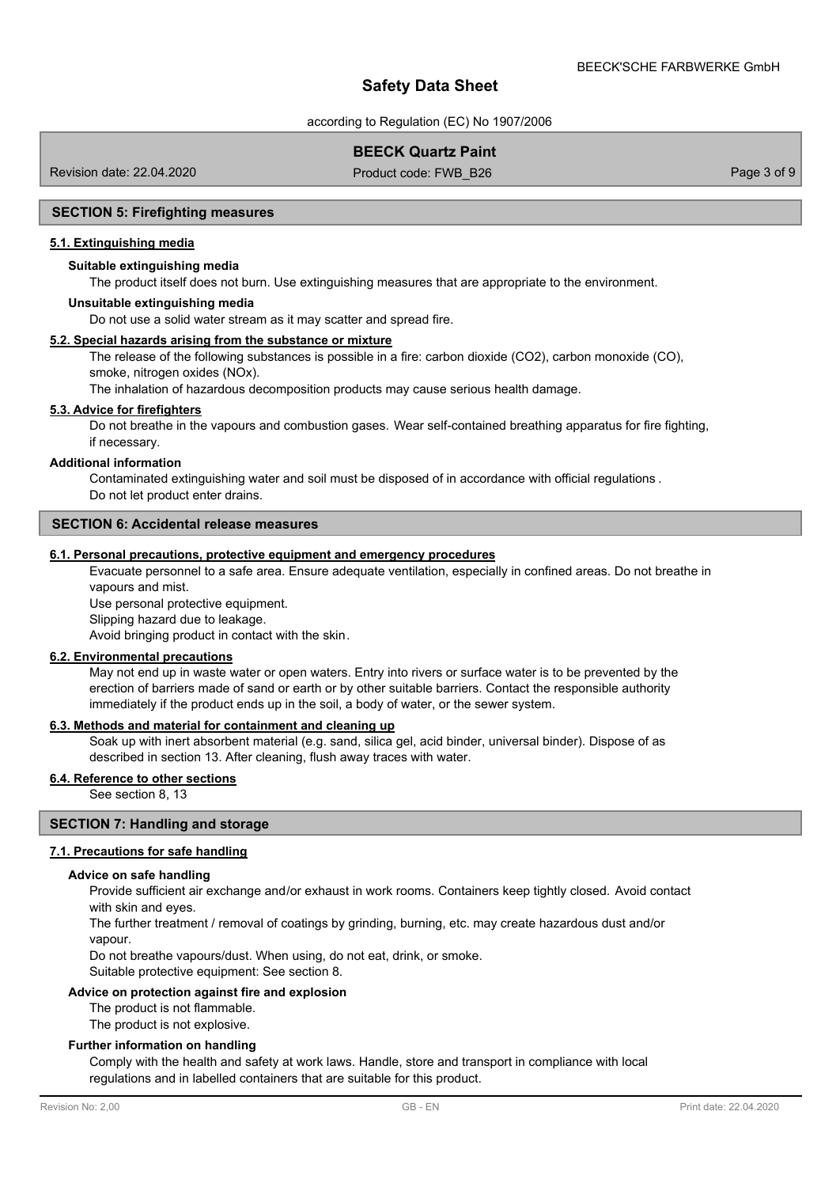according to Regulation (EC) No 1907/2006

## **BEECK Quartz Paint**

Revision date: 22.04.2020

Product code: FWB\_B26 Page 3 of 9

#### **SECTION 5: Firefighting measures**

### **5.1. Extinguishing media**

### **Suitable extinguishing media**

The product itself does not burn. Use extinguishing measures that are appropriate to the environment.

#### **Unsuitable extinguishing media**

Do not use a solid water stream as it may scatter and spread fire.

### **5.2. Special hazards arising from the substance or mixture**

The release of the following substances is possible in a fire: carbon dioxide (CO2), carbon monoxide (CO), smoke, nitrogen oxides (NOx).

The inhalation of hazardous decomposition products may cause serious health damage.

### **5.3. Advice for firefighters**

Do not breathe in the vapours and combustion gases. Wear self-contained breathing apparatus for fire fighting, if necessary.

#### **Additional information**

Contaminated extinguishing water and soil must be disposed of in accordance with official regulations . Do not let product enter drains.

### **SECTION 6: Accidental release measures**

### **6.1. Personal precautions, protective equipment and emergency procedures**

Evacuate personnel to a safe area. Ensure adequate ventilation, especially in confined areas. Do not breathe in vapours and mist.

Use personal protective equipment.

Slipping hazard due to leakage.

Avoid bringing product in contact with the skin.

#### **6.2. Environmental precautions**

May not end up in waste water or open waters. Entry into rivers or surface water is to be prevented by the erection of barriers made of sand or earth or by other suitable barriers. Contact the responsible authority immediately if the product ends up in the soil, a body of water, or the sewer system.

### **6.3. Methods and material for containment and cleaning up**

Soak up with inert absorbent material (e.g. sand, silica gel, acid binder, universal binder). Dispose of as described in section 13. After cleaning, flush away traces with water.

### **6.4. Reference to other sections**

See section 8, 13

### **SECTION 7: Handling and storage**

#### **7.1. Precautions for safe handling**

#### **Advice on safe handling**

Provide sufficient air exchange and/or exhaust in work rooms. Containers keep tightly closed. Avoid contact with skin and eyes.

The further treatment / removal of coatings by grinding, burning, etc. may create hazardous dust and/or vapour.

Do not breathe vapours/dust. When using, do not eat, drink, or smoke.

Suitable protective equipment: See section 8.

### **Advice on protection against fire and explosion**

The product is not flammable.

The product is not explosive.

#### **Further information on handling**

Comply with the health and safety at work laws. Handle, store and transport in compliance with local regulations and in labelled containers that are suitable for this product.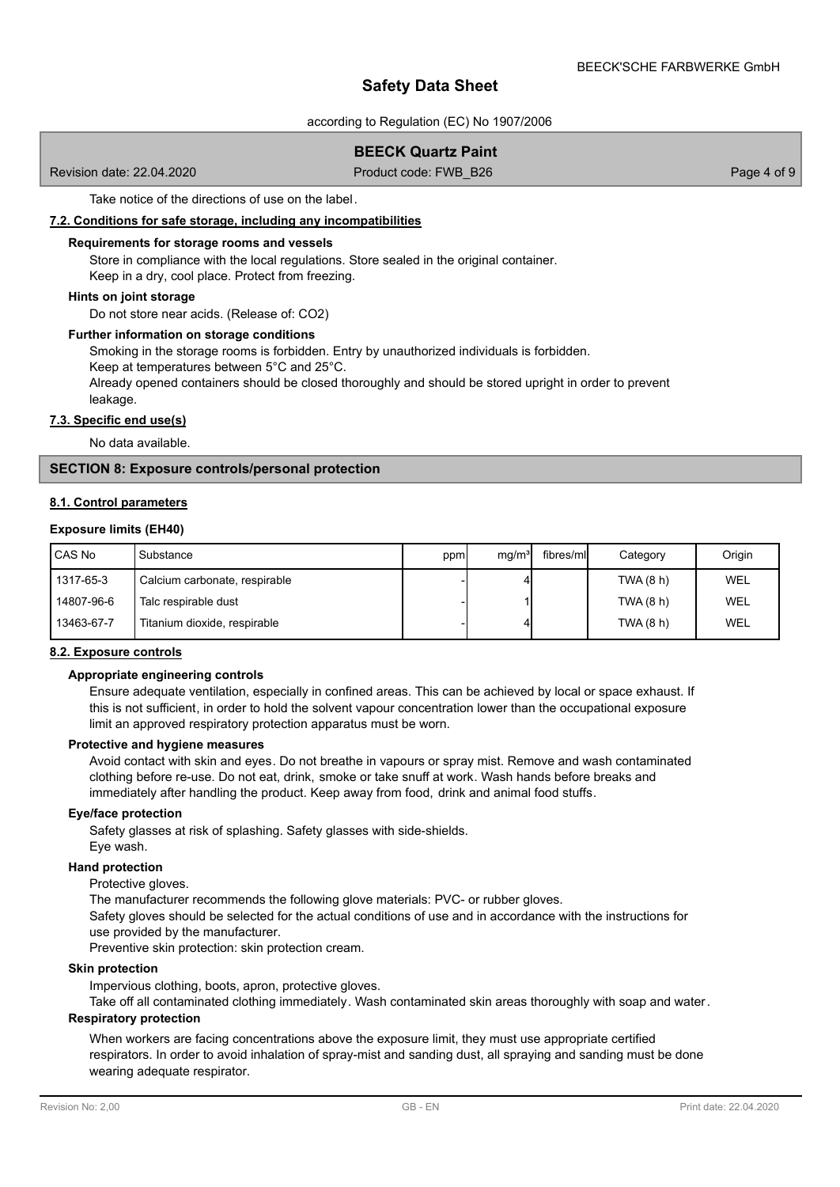according to Regulation (EC) No 1907/2006

# **BEECK Quartz Paint**

Revision date: 22.04.2020

Product code: FWB\_B26 Page 4 of 9

Take notice of the directions of use on the label.

### **7.2. Conditions for safe storage, including any incompatibilities**

#### **Requirements for storage rooms and vessels**

Store in compliance with the local regulations. Store sealed in the original container. Keep in a dry, cool place. Protect from freezing.

### **Hints on joint storage**

Do not store near acids. (Release of: CO2)

### **Further information on storage conditions**

Smoking in the storage rooms is forbidden. Entry by unauthorized individuals is forbidden.

Keep at temperatures between 5°C and 25°C.

Already opened containers should be closed thoroughly and should be stored upright in order to prevent leakage.

#### **7.3. Specific end use(s)**

No data available.

### **SECTION 8: Exposure controls/personal protection**

### **8.1. Control parameters**

### **Exposure limits (EH40)**

| <b>CAS No</b> | Substance                     | ppm | mq/m <sup>3</sup> | fibres/mll | Category  | Origin |
|---------------|-------------------------------|-----|-------------------|------------|-----------|--------|
| 1317-65-3     | Calcium carbonate, respirable |     |                   |            | TWA (8 h) | WEL    |
| 14807-96-6    | Talc respirable dust          |     |                   |            | TWA (8 h) | WEL    |
| 13463-67-7    | Titanium dioxide, respirable  |     |                   |            | TWA (8 h) | WEL    |

### **8.2. Exposure controls**

### **Appropriate engineering controls**

Ensure adequate ventilation, especially in confined areas. This can be achieved by local or space exhaust. If this is not sufficient, in order to hold the solvent vapour concentration lower than the occupational exposure limit an approved respiratory protection apparatus must be worn.

### **Protective and hygiene measures**

Avoid contact with skin and eyes. Do not breathe in vapours or spray mist. Remove and wash contaminated clothing before re-use. Do not eat, drink, smoke or take snuff at work. Wash hands before breaks and immediately after handling the product. Keep away from food, drink and animal food stuffs.

#### **Eye/face protection**

Safety glasses at risk of splashing. Safety glasses with side-shields. Eye wash.

### **Hand protection**

### Protective gloves.

The manufacturer recommends the following glove materials: PVC- or rubber gloves. Safety gloves should be selected for the actual conditions of use and in accordance with the instructions for use provided by the manufacturer.

Preventive skin protection: skin protection cream.

#### **Skin protection**

Impervious clothing, boots, apron, protective gloves.

Take off all contaminated clothing immediately. Wash contaminated skin areas thoroughly with soap and water.

# **Respiratory protection**

When workers are facing concentrations above the exposure limit, they must use appropriate certified respirators. In order to avoid inhalation of spray-mist and sanding dust, all spraying and sanding must be done wearing adequate respirator.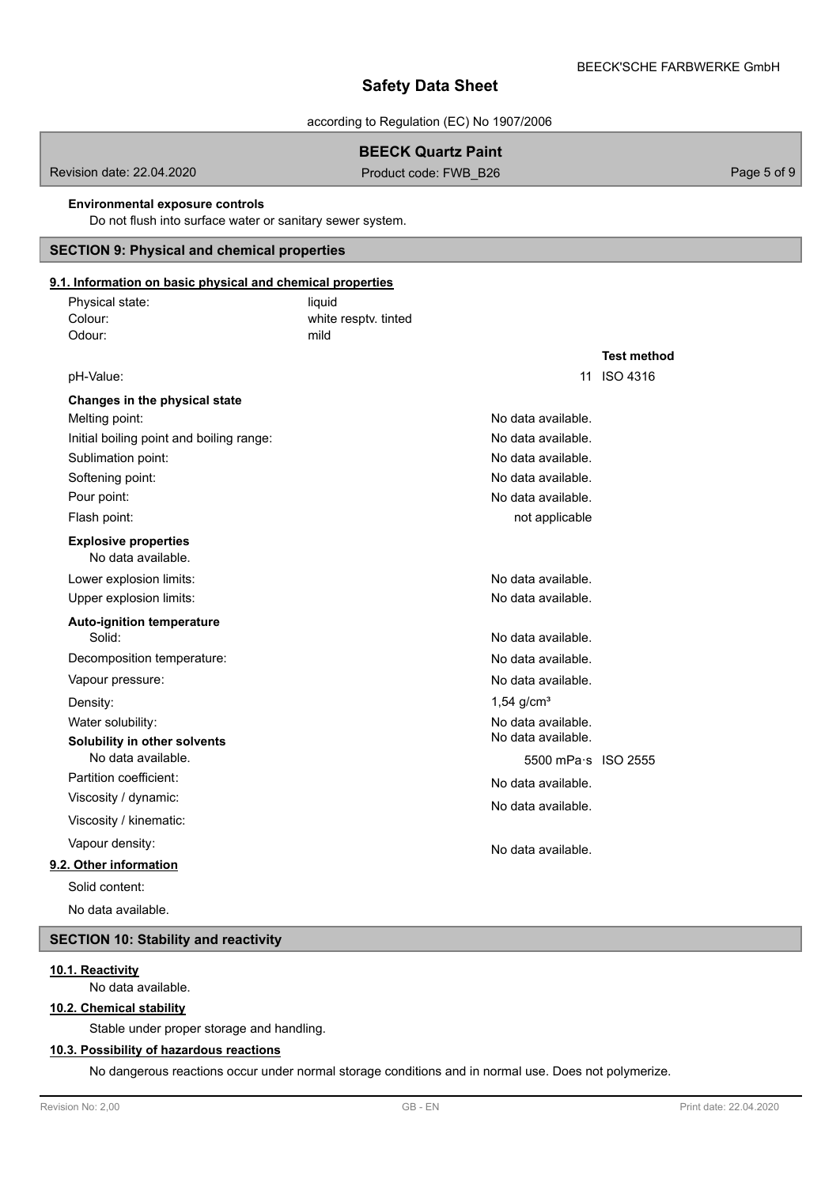according to Regulation (EC) No 1907/2006

# **BEECK Quartz Paint**

Revision date: 22.04.2020 **Product code: FWB\_B26** Page 5 of 9

#### **Environmental exposure controls**

Do not flush into surface water or sanitary sewer system.

# **SECTION 9: Physical and chemical properties**

#### white resptv. tinted Physical state: liquid Colour: **9.1. Information on basic physical and chemical properties** Odour: mild **Test method** pH-Value: 11 ISO 4316 **Changes in the physical state** Melting point: Initial boiling point and boiling range: Sublimation point: Softening point: Pour point: Flash point: No data available. **Explosive properties** Lower explosion limits: Upper explosion limits: **Auto-ignition temperature** Solid: Decomposition temperature: Vapour pressure: Density: Water solubility: **Solubility in other solvents** No data available. Partition coefficient: Viscosity / dynamic: Viscosity / kinematic: Vapour density: **9.2. Other information** No data available. No data available. No data available. No data available. No data available. not applicable No data available. No data available. No data available. No data available. No data available.  $1,54$  g/cm<sup>3</sup> No data available. No data available. 5500 mPa·s ISO 2555 No data available. No data available. No data available. Solid content: No data available.

# **SECTION 10: Stability and reactivity**

# **10.1. Reactivity**

No data available.

### **10.2. Chemical stability**

Stable under proper storage and handling.

### **10.3. Possibility of hazardous reactions**

No dangerous reactions occur under normal storage conditions and in normal use. Does not polymerize.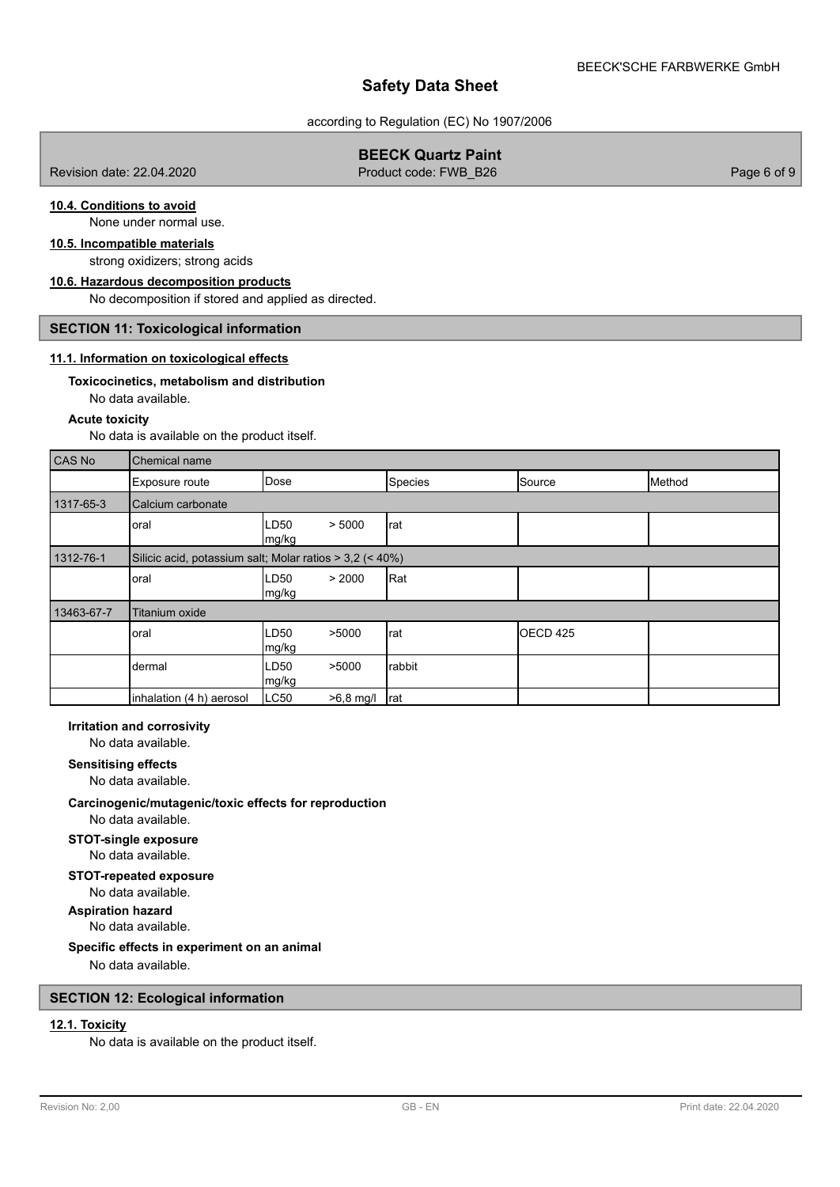according to Regulation (EC) No 1907/2006

## **BEECK Quartz Paint**

Revision date: 22.04.2020 **Product code: FWB\_B26** Page 6 of 9 Page 6 of 9

# **10.4. Conditions to avoid**

None under normal use.

# **10.5. Incompatible materials**

# strong oxidizers; strong acids **10.6. Hazardous decomposition products**

No decomposition if stored and applied as directed.

### **SECTION 11: Toxicological information**

### **11.1. Information on toxicological effects**

# **Toxicocinetics, metabolism and distribution**

No data available.

### **Acute toxicity**

No data is available on the product itself.

| CAS No     | Chemical name            |                                                          |         |                     |        |  |  |
|------------|--------------------------|----------------------------------------------------------|---------|---------------------|--------|--|--|
|            | Exposure route           | Dose                                                     | Species | Source              | Method |  |  |
| 1317-65-3  | Calcium carbonate        |                                                          |         |                     |        |  |  |
|            | oral                     | LD50<br>> 5000<br>mg/kg                                  | rat     |                     |        |  |  |
| 1312-76-1  |                          | Silicic acid, potassium salt; Molar ratios > 3,2 (< 40%) |         |                     |        |  |  |
|            | oral                     | > 2000<br>LD50<br>mg/kg                                  | Rat     |                     |        |  |  |
| 13463-67-7 | <b>Titanium oxide</b>    |                                                          |         |                     |        |  |  |
|            | oral                     | LD <sub>50</sub><br>>5000<br>mg/kg                       | rat     | OECD <sub>425</sub> |        |  |  |
|            | dermal                   | LD <sub>50</sub><br>>5000<br>mg/kg                       | rabbit  |                     |        |  |  |
|            | inhalation (4 h) aerosol | LC50<br>$>6,8$ mg/l                                      | Irat    |                     |        |  |  |

#### **Irritation and corrosivity**

No data available.

### **Sensitising effects**

No data available.

# **Carcinogenic/mutagenic/toxic effects for reproduction**

No data available.

#### **STOT-single exposure** No data available.

### No data available. **STOT-repeated exposure**

**Aspiration hazard**

## No data available.

## **Specific effects in experiment on an animal**

No data available.

## **SECTION 12: Ecological information**

# **12.1. Toxicity**

No data is available on the product itself.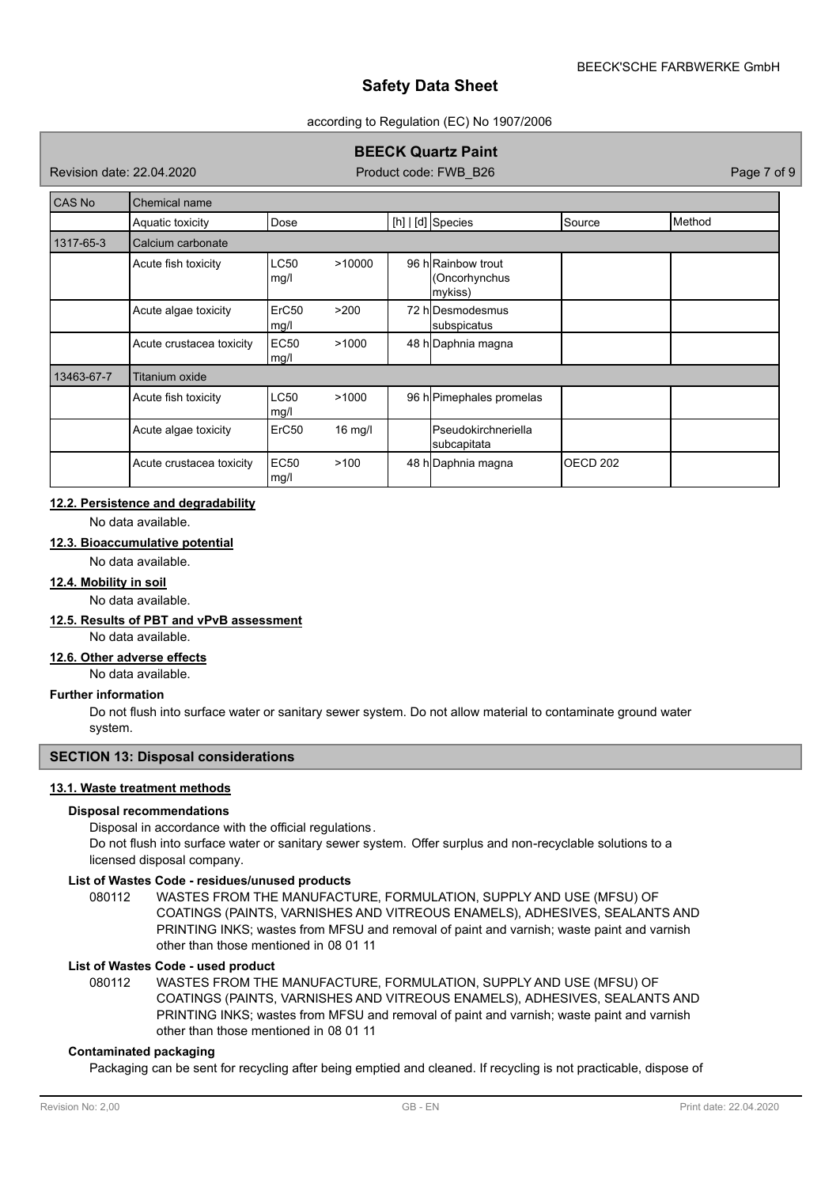### according to Regulation (EC) No 1907/2006

# **BEECK Quartz Paint**

Revision date: 22.04.2020

Product code: FWB\_B26 Page 7 of 9

| CAS No     | Chemical name            |                     |                   |  |                                               |                     |        |
|------------|--------------------------|---------------------|-------------------|--|-----------------------------------------------|---------------------|--------|
|            | Aquatic toxicity         | Dose                |                   |  | $[h]   [d]$ Species                           | Source              | Method |
| 1317-65-3  | Calcium carbonate        |                     |                   |  |                                               |                     |        |
|            | Acute fish toxicity      | <b>LC50</b><br>mg/l | >10000            |  | 96 hRainbow trout<br>(Oncorhynchus<br>mykiss) |                     |        |
|            | Acute algae toxicity     | ErC50<br>mg/l       | >200              |  | 72 hIDesmodesmus<br>subspicatus               |                     |        |
|            | Acute crustacea toxicity | <b>EC50</b><br>mg/l | >1000             |  | 48 h Daphnia magna                            |                     |        |
| 13463-67-7 | Titanium oxide           |                     |                   |  |                                               |                     |        |
|            | Acute fish toxicity      | <b>LC50</b><br>mg/l | >1000             |  | 96 h Pimephales promelas                      |                     |        |
|            | Acute algae toxicity     | ErC50               | $16 \text{ mg/l}$ |  | <b>I</b> Pseudokirchneriella<br>subcapitata   |                     |        |
|            | Acute crustacea toxicity | <b>EC50</b><br>mg/l | >100              |  | 48 h Daphnia magna                            | OECD <sub>202</sub> |        |

## **12.2. Persistence and degradability**

No data available.

# **12.3. Bioaccumulative potential**

No data available.

# **12.4. Mobility in soil**

No data available.

### **12.5. Results of PBT and vPvB assessment**

No data available.

#### **12.6. Other adverse effects**

No data available.

### **Further information**

Do not flush into surface water or sanitary sewer system. Do not allow material to contaminate ground water system.

### **SECTION 13: Disposal considerations**

# **13.1. Waste treatment methods**

### **Disposal recommendations**

Disposal in accordance with the official regulations.

Do not flush into surface water or sanitary sewer system. Offer surplus and non-recyclable solutions to a licensed disposal company.

### **List of Wastes Code - residues/unused products**

080112 WASTES FROM THE MANUFACTURE, FORMULATION, SUPPLY AND USE (MFSU) OF COATINGS (PAINTS, VARNISHES AND VITREOUS ENAMELS), ADHESIVES, SEALANTS AND PRINTING INKS; wastes from MFSU and removal of paint and varnish; waste paint and varnish other than those mentioned in 08 01 11

## **List of Wastes Code - used product**

WASTES FROM THE MANUFACTURE, FORMULATION, SUPPLY AND USE (MFSU) OF COATINGS (PAINTS, VARNISHES AND VITREOUS ENAMELS), ADHESIVES, SEALANTS AND PRINTING INKS; wastes from MFSU and removal of paint and varnish; waste paint and varnish other than those mentioned in 08 01 11 080112

### **Contaminated packaging**

Packaging can be sent for recycling after being emptied and cleaned. If recycling is not practicable, dispose of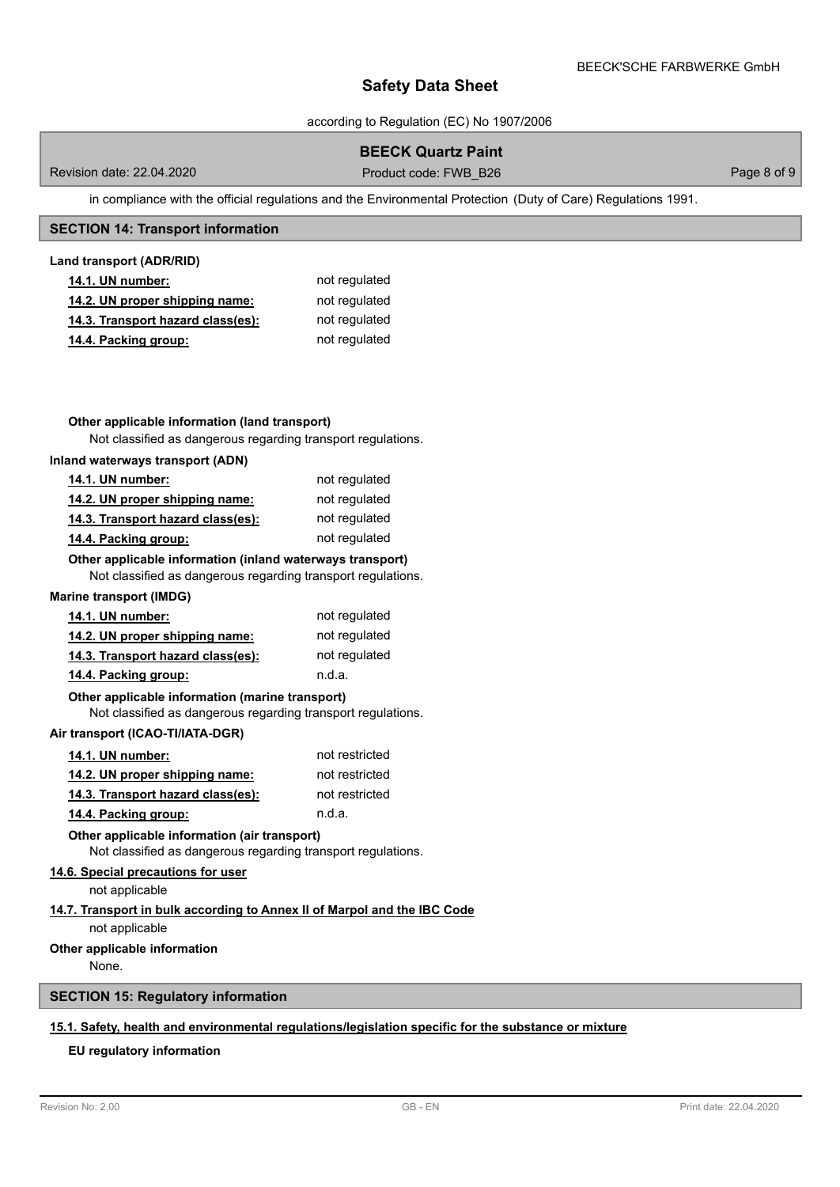according to Regulation (EC) No 1907/2006

# **BEECK Quartz Paint**

Revision date: 22.04.2020 **Product code: FWB\_B26** Page 8 of 9

in compliance with the official regulations and the Environmental Protection (Duty of Care) Regulations 1991.

### **SECTION 14: Transport information**

### **Land transport (ADR/RID)**

| <b>14.1. UN number:</b>           | not regulated |
|-----------------------------------|---------------|
| 14.2. UN proper shipping name:    | not regulated |
| 14.3. Transport hazard class(es): | not regulated |
| 14.4. Packing group:              | not regulated |

### **Other applicable information (land transport)**

Not classified as dangerous regarding transport regulations.

### **Inland waterways transport (ADN)**

| <b>14.1. UN number:</b>           | not regulated |
|-----------------------------------|---------------|
| 14.2. UN proper shipping name:    | not regulated |
| 14.3. Transport hazard class(es): | not regulated |
| 14.4. Packing group:              | not regulated |

### **Other applicable information (inland waterways transport)**

Not classified as dangerous regarding transport regulations.

### **Marine transport (IMDG)**

| <b>14.1. UN number:</b>           | not regulated |
|-----------------------------------|---------------|
| 14.2. UN proper shipping name:    | not regulated |
| 14.3. Transport hazard class(es): | not regulated |
| 14.4. Packing group:              | n.d.a.        |

#### Not classified as dangerous regarding transport regulations. **Other applicable information (marine transport)**

### **Air transport (ICAO-TI/IATA-DGR)**

| <b>14.1. UN number:</b>           | not restricted |
|-----------------------------------|----------------|
| 14.2. UN proper shipping name:    | not restricted |
| 14.3. Transport hazard class(es): | not restricted |
| 14.4. Packing group:              | n.d.a.         |

Not classified as dangerous regarding transport regulations. **Other applicable information (air transport)**

### **14.6. Special precautions for user**

not applicable

### **14.7. Transport in bulk according to Annex II of Marpol and the IBC Code**

not applicable

### **Other applicable information**

None.

# **SECTION 15: Regulatory information**

# **15.1. Safety, health and environmental regulations/legislation specific for the substance or mixture**

### **EU regulatory information**